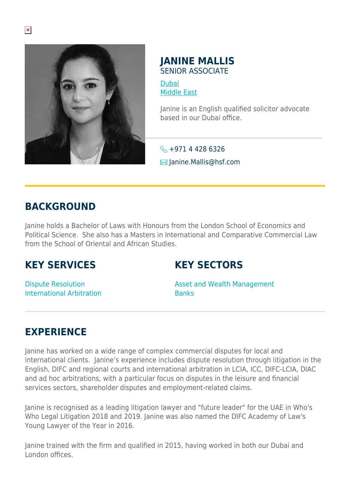

#### **JANINE MALLIS** SENIOR ASSOCIATE

[Dubai](https://www.herbertsmithfreehills.com/where-we-work/dubai) [Middle East](https://www.herbertsmithfreehills.com/where-we-work/middle-east)

Janine is an English qualified solicitor advocate based in our Dubai office.

 $\leftarrow +97144286326$  $\boxtimes$  Janine.Mallis@hsf.com

#### **BACKGROUND**

Janine holds a Bachelor of Laws with Honours from the London School of Economics and Political Science. She also has a Masters in International and Comparative Commercial Law from the School of Oriental and African Studies.

## **KEY SERVICES**

## **KEY SECTORS**

Dispute Resolution International Arbitration Asset and Wealth Management Banks

# **EXPERIENCE**

Janine has worked on a wide range of complex commercial disputes for local and international clients. Janine's experience includes dispute resolution through litigation in the English, DIFC and regional courts and international arbitration in LCIA, ICC, DIFC-LCIA, DIAC and ad hoc arbitrations, with a particular focus on disputes in the leisure and financial services sectors, shareholder disputes and employment-related claims.

Janine is recognised as a leading litigation lawyer and "future leader" for the UAE in Who's Who Legal Litigation 2018 and 2019. Janine was also named the DIFC Academy of Law's Young Lawyer of the Year in 2016.

Janine trained with the firm and qualified in 2015, having worked in both our Dubai and London offices.